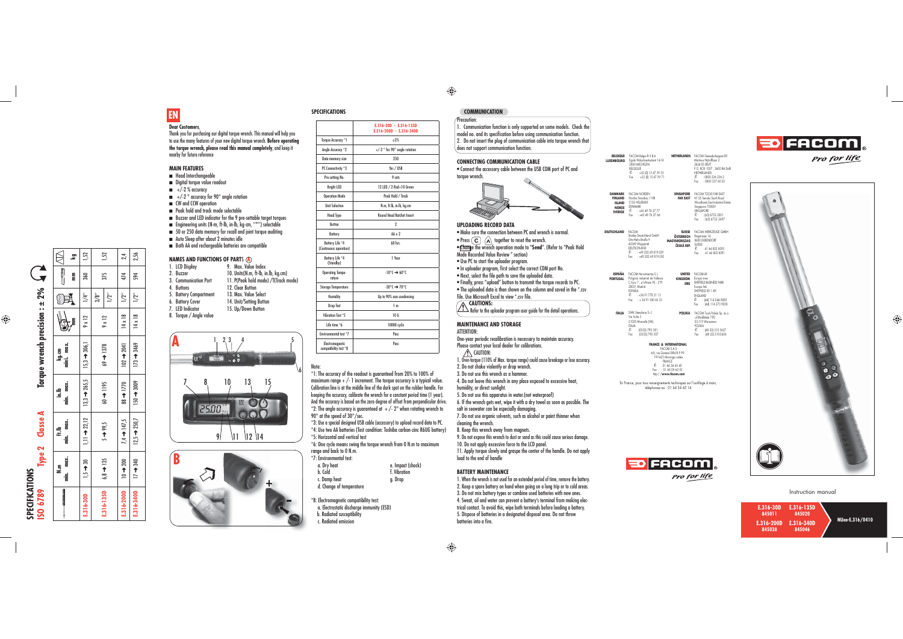- Head Interchangeable
- Digital torque value readout
- $\blacksquare$  +/-2 % accuracy
- $\blacksquare$  +/-2  $^{\circ}$  accuracy for 90 $^{\circ}$  angle rotation
- CW and CCW operation
- Peak hold and track mode selectable
- Buzzer and LED indicator for the 9 pre-settable target torques
- Engineering units (N-m, ft-lb, in-lb, kg-cm, ''**°**'') selectable
- 50 or 250 data memory for recall and joint torque auditing
- Auto Sleep after about 2 minutes idle
- Both AA and rechargeable batteries are compatible

Thank you for purchasing our digital torque wrench. This manual will help you to use the many features of your new digital torque wrench. **Before operating the torque wrench, please read this manual completely**, and keep it nearby for future reference

#### **MAIN FEATURES**

- 1. LCD Display 9. Max. Value Index 2. Buzzer 10. Units(N.m, ft-lb, in.lb, kg.cm)
- 
- 3. Communication Port 11. P(Peak hold mode) /T(Track mode)<br>4. Buttons 12. Clear Button
- 5. Battery Compartment
	-
- 6. Battery Cover 14. Unit/Setting Button<br>15. Up/Down Button
- 8. Torque / Angle value



12. Clear Button 13. Max. Value Select

15. Up/Down Button

### **NAMES AND FUNCTIONS OF PART**S **A**



**E.316-30D - E.316-135D** 

 \*6: One cycle means swing the torque wrench from 0 N.m to maximum range and back to 0 N.m.

- b. Cold **f.** Vibration
- c. Damp heat g. Drop d. Change of temperature
- 
- \*8: Electromagnetic compatibility test:
- a. Electrostatic discharge immunity (ESD)
- b. Radiated susceptibility
- c. Radiated emission

|                                           | E.316-200D - E.316-340D                        |
|-------------------------------------------|------------------------------------------------|
| <b>Torque Accuracy *1</b>                 | $+2%$                                          |
| Angle Accuracy *2                         | +/-2 $\degree$ for 90 $\degree$ angle rotation |
| Data memory size                          | 250                                            |
| PC Connectivity *3                        | Yes / USB                                      |
| Pre-setting No.                           | 9 sets                                         |
| <b>Bright LED</b>                         | 12 LED / 2 Red+10 Green                        |
| <b>Operation Mode</b>                     | Peak Hold / Track                              |
| <b>Unit Selection</b>                     | N.m, ft.lb, in.lb, kg.cm                       |
| <b>Head Type</b>                          | <b>Round Head Ratchet Insert</b>               |
| <b>Button</b>                             | $\overline{2}$                                 |
| Battery                                   | $\Delta\Delta \times 2$                        |
| Battery Life *4<br>(Continuous operation) | 60 hrs.                                        |
| Battery Life *4<br>(Standby)              | 1 Year                                         |
| <b>Operating Tempe-</b><br>rature         | $-10^{\circ}$ C $\rightarrow 60^{\circ}$ C     |
| <b>Storage Temperature</b>                | $-20^{\circ}$ f $\rightarrow 70^{\circ}$ f     |
| <b>Humidity</b>                           | Up to 90% non-condensing                       |
| <b>Drop Test</b>                          | 1 <sub>m</sub>                                 |
| Vibration Test *5                         | 10G                                            |
| Life time *6                              | 10000 cycle                                    |
| Environmental test *7                     | Pass                                           |
| Electromagnetic<br>compatibility test *8  | Pass                                           |

**Precaution:**  1. Communication function is only supported on some models. Check the model no. and its specification before using communication function. 2. Do not insert the plug of communication cable into torque wrench that does not support communication function.

| <b>SPECIFICATIONS</b> |  |
|-----------------------|--|
|                       |  |

Note:

 \*1: The accuracy of the readout is guaranteed from 20% to 100% of maximum range  $+/-1$  increment. The torque accuracy is a typical value. Calibration line is at the middle line of the dark spot on the rubber handle. For keeping the accuracy, calibrate the wrench for a constant period time (1 year). And the accuracy is based on the zero degree of offset from perpendicular drive. \*2: The angle accuracy is guaranteed at  $+/-2^{\circ}$  when rotating wrench to 90° at the speed of 30°/sec.

\*3: Use a special designed USB cable (accessory) to upload record data to PC. \*4: Use two AA batteries (Test condition: Toshiba carbon-zinc R6UG battery) \*5: Horizontal and vertical test

- 1. When the wrench is not used for an extended period of time, remove the battery.
- 2. Keep a spare battery on hand when going on a long trip or to cold areas.
- 3. Do not mix battery types or combine used batteries with new ones. 4. Sweat, oil and water can prevent a battery's terminal from making electrical contact. To avoid this, wipe both terminals before loading a battery.
- 5. Dispose of batteries in a designated disposal area. Do not throw batteries into a fire.



\*7: Environmental test:

a. Dry heat e. Impact (shock)

- **NETHERLANDS** FACOM Gereedschappen BV Martinus Nijhofflaan 2 2624 ES DELFT P.O. BOX 1007 . 2600 BA Delft NETHERLANDS ✆ : 0800 236 236 2 Fax : 0800 237 60 20
- **SINGAPORE** FACOM TOOLS FAR EAST **FAR EAST**N° 25 Senoko South Road<br>Woodlands East Industrial Estate<br>Singapore 758081<br>© : (65) 6752 2001<br>Fax : (65) 6752 2697



**SPECIFICATIONS**

SPECIFICATIONS<br>ISO 6789

**ISO 6789 Type 2 Classe A Torque wrench precision : ± 2%**

 $\blacktriangleleft$ 

Classe /

 $\sim$ Type 2 **DANMARK** FACOM NORDEN<br>**FINLAND** Nordre Strandvej **ISLAND NORGESVERIGE**

**DEUTSCHLAND** FACOM<br>Stanley Deutschlanı<br>Otto-Hahn-Straße 9<br>42369 Wuppertal

Nordre Strandvej 119B 3150 HELLEBÆK DENMARK<br>© : +45 49 76 27 77<br>Fax : +45 49 76 27 66

#### **CONNECTING COMMUNICATION CABLE**

 • Connect the accessory cable between the USB COM port of PC and torque wrench.



ESPAÑA ✆ : +34 91 778 21 13 Fax : + 34 91 380 65 33 **ITALIA** SWK Utensilerie S.r.l.<br>Via Volta 3<br>21020 Monvalle (VA)<br>ITALIA<br>*C* : (0332) 790 307<br>Fax : (0332) 790 307

#### **UPLOADING RECORD DATA**

# **Dear Customers**, **EN**

**ft.lb**<br>max. **min. max.**

 $\frac{d}{dt}$ 

- Make sure the connection between PC and wrench is normal.
- Press  $\left(\overline{C}\right)$   $\left(\overline{A}\right)$  together to reset the wrench.
- Change the wrench operation mode to "**Send**". (Refer to "Peak Hold
- **Mode Recorded Value Review** " section)
- Use PC to start the uploader program.
- In uploader program, first select the correct COM port No.
- Next, select the file path to save the uploaded data.
- Finally, press "upload" button to transmit the torque records to PC.
- The uploaded data is then shown on the column and saved in the \*.csv
- file. Use Microsoft Excel to view \*.csv file.
- 
- **CAUTIONS:** Refer to the uploader program user guide for the detail operations.

iV.3 │ t/z │ ,。2/l │ 8l×tl │ ltp0ζ ← 20l │ 0.2/l←88 │ S´Ltl←t'l │ 002 ← 0l │ 0002-9Lg'i **E.316-340D** 17 ➜ 340 12,5 ➜ 250,7 150 ➜ 3009 173 ➜ 3469 14 x 18 1/2'' 594 2,56

88 → 1770

 $7,4 \rightarrow 147,5$  $12,5 \rightarrow 250,7$ 

200 340

 $\frac{1}{2}$  $\frac{1}{2}$ 

E316-2

E.316-340D 200D

150 → 3009

#### **MAINTENANCE AND STORAGE**

- ATTENTION:
- One-year periodic recalibration is necessary to maintain accuracy.
- Please contact your local dealer for calibrations.

#### $\bigwedge$  (aution:

- 1. Over-torque (110% of Max. torque range) could cause breakage or lose accuracy.
- 2. Do not shake violently or drop wrench.
- 3. Do not use this wrench as a hammer.
- 4. Do not leave this wrench in any place exposed to excessive heat,
- humidity, or direct sunlight.
- 
- 5. Do not use this apparatus in water.(not waterproof) 6. If the wrench gets wet, wipe it with a dry towel as soon as possible. The
- 
- salt in seawater can be especially damaging. 7. Do not use organic solvents, such as alcohol or paint thinner when
- cleaning the wrench.
- 8. Keep this wrench away from magnets.
- 9. Do not expose this wrench to dust or sand as this could cause serious damage.
- 10. Do not apply excessive force to the LCD panel.
- 11. Apply torque slowly and graspe the center of the handle. Do not apply load to the end of handle

#### **BATTERY MAINTENANCE**

⊕

## **COMMUNICATION**

 $\bigoplus$ 

#### Instruction manual

En France, pour tous renseignements techniques sur l'outillage à main, téléphonez au : 01 64 54 45 14





⊕

**LUXEMBOURG**

- 
- **FRANCE & INTERNATIONAL**<br>
FACOM S.A.S.<br>
6-8, rue Gustave Eiffel B.P.99<br>
F-91423 Morangis cedex<br>
FRANCE<br> *©* : 01 64 54 45 45
- 

**BELGIQUE** FACOM Belgie B.V.B.A.

Egide Walschaertsstraat 14-16 2800 MECHELEN BELGIQUE ✆ : +32 (0) 15 47 39 35 Fax : +32 (0) 15 47 39 71

DEUTSCHLAND ✆ : +49 202 69 819-329Fax : +49 202 69 819-350



**SUISSE ÖSTERREICH MAGYARORSZAG ČESKÁ REP.**FACOM WERKZEUGE GMBH<br>Ringstrasse 14<br>8600 DÜBENDORF SUISSE ✆ : 41 44 802 8093 Fax : 41 44 802 8091

**ESPAÑAPORTUGAL**

FACOM Herramientas S.L. Poligono industrial de Vallecas C/Luis 1°, s/n-Nave 95 - 2°Pl. 28031 Madrid

**UNITED KINGDOM EIRE** FACOM-UK Europa view SHEFFIELD BUSINESS PARK Europa link SHEFFIELD S9 1 XH ENGLAND✆ : (44) 114 244 8883 Fax : (44) 114 273 9038

**POLSKA** FACOM Tools Polska Sp. zo.o.<br>
ul.Modlińska 190<br>
03-119 Warszawa<br>
POLSKA<br> *Q* : (48 22) 510 3627<br>
Fax : (48 22) 510 3636



Fax : 01 69 09 60 93 http:/ /**www.facom.com**

Stanley Deutschland GmbH

**N.m min. max.**

 $\dot{\mathbf{z}}$ 

**in.lb min. max.**

 $\frac{1}{E}$ 

B.311 098 | .,t/l 21×6 | l/908 忄 c'sin 5,992 忄 e.'ci 21/2z 忄 ll´l 08 忄 s'l 006-9L eːi

 $13,3 \rightarrow 265,5$ 

 $\rightarrow$  22,12

 $\Xi$ 

జ

 $\frac{1}{2}$ 

g  $\frac{6}{2}$  E.31×6-1-8281.4-69-1-5611.4-09-1-5166.4-5-1-581.4-89-1-0581-9167

 $5 - 99,5$ 

 $135$ 

 $6,8 \rightarrow 1$ 

E.316-135D

**kg.cm mini. max.**

**mm mm kg**

DA

 $\overline{\mathbb{R}}$ 

目

Σj - 모

59

 $1/4$ "

 $(x)$ 

 $306<sub>1</sub>$  $15,3 \rightarrow$ 

 $\bigotimes$ 

 $\overline{\mathbf{v}}$ 

 $2%$ 

 $\ddot{ }$ :

precision

wrench

Torque

 $\bigoplus$ 

3/8''

 $9 \times 12$ 

 $\overline{1378}$ 

 $\overline{3}$ 

1195  $\uparrow$ 

 $1/2$   $\phantom{}^{\prime\prime}$ 

375 1,52

 $\frac{2,4}{2,56}$ 

 $174$ 594

 $1/2$ <sup>11</sup>  $1/2$ 

 $14 \times 18$  $14 \times 18$